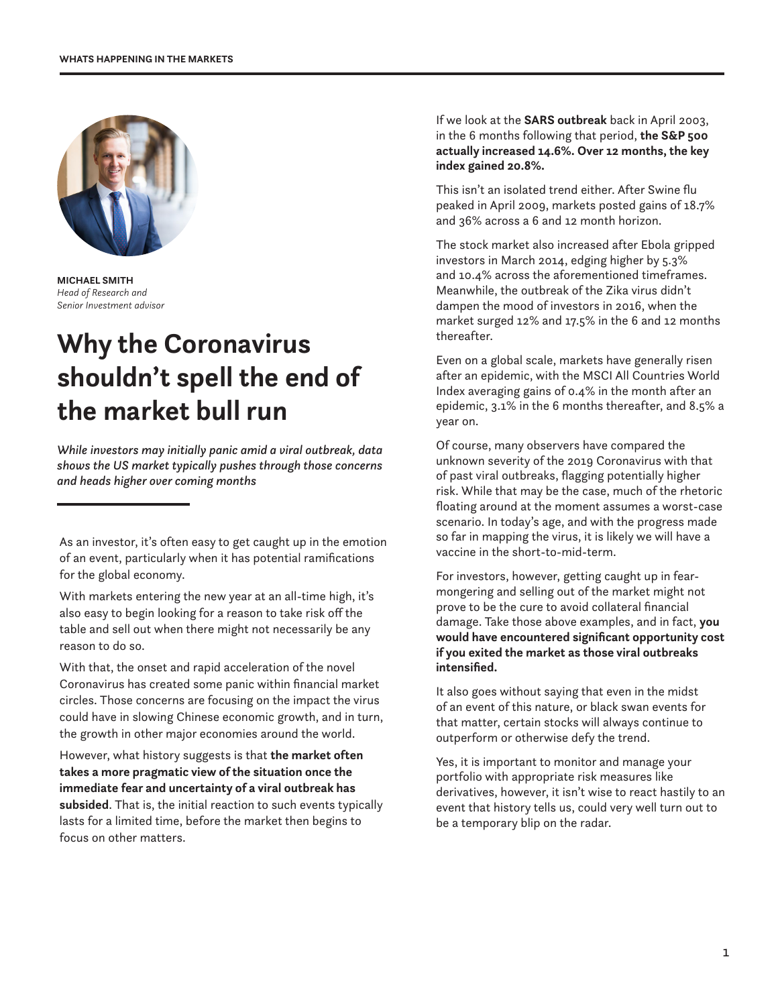

**MICHAEL SMITH** *Head of Research and Senior Investment advisor*

## **Why the Coronavirus shouldn't spell the end of the market bull run**

*While investors may initially panic amid a viral outbreak, data shows the US market typically pushes through those concerns and heads higher over coming months*

As an investor, it's often easy to get caught up in the emotion of an event, particularly when it has potential ramifications for the global economy.

With markets entering the new year at an all-time high, it's also easy to begin looking for a reason to take risk off the table and sell out when there might not necessarily be any reason to do so.

With that, the onset and rapid acceleration of the novel Coronavirus has created some panic within financial market circles. Those concerns are focusing on the impact the virus could have in slowing Chinese economic growth, and in turn, the growth in other major economies around the world.

However, what history suggests is that **the market often takes a more pragmatic view of the situation once the immediate fear and uncertainty of a viral outbreak has subsided**. That is, the initial reaction to such events typically lasts for a limited time, before the market then begins to focus on other matters.

If we look at the **SARS outbreak** back in April 2003, in the 6 months following that period, **the S&P 500 actually increased 14.6%. Over 12 months, the key index gained 20.8%.**

This isn't an isolated trend either. After Swine flu peaked in April 2009, markets posted gains of 18.7% and 36% across a 6 and 12 month horizon.

The stock market also increased after Ebola gripped investors in March 2014, edging higher by 5.3% and 10.4% across the aforementioned timeframes. Meanwhile, the outbreak of the Zika virus didn't dampen the mood of investors in 2016, when the market surged 12% and 17.5% in the 6 and 12 months thereafter.

Even on a global scale, markets have generally risen after an epidemic, with the MSCI All Countries World Index averaging gains of 0.4% in the month after an epidemic, 3.1% in the 6 months thereafter, and 8.5% a year on.

Of course, many observers have compared the unknown severity of the 2019 Coronavirus with that of past viral outbreaks, flagging potentially higher risk. While that may be the case, much of the rhetoric floating around at the moment assumes a worst-case scenario. In today's age, and with the progress made so far in mapping the virus, it is likely we will have a vaccine in the short-to-mid-term.

For investors, however, getting caught up in fearmongering and selling out of the market might not prove to be the cure to avoid collateral financial damage. Take those above examples, and in fact, **you would have encountered significant opportunity cost if you exited the market as those viral outbreaks intensified.**

It also goes without saying that even in the midst of an event of this nature, or black swan events for that matter, certain stocks will always continue to outperform or otherwise defy the trend.

Yes, it is important to monitor and manage your portfolio with appropriate risk measures like derivatives, however, it isn't wise to react hastily to an event that history tells us, could very well turn out to be a temporary blip on the radar.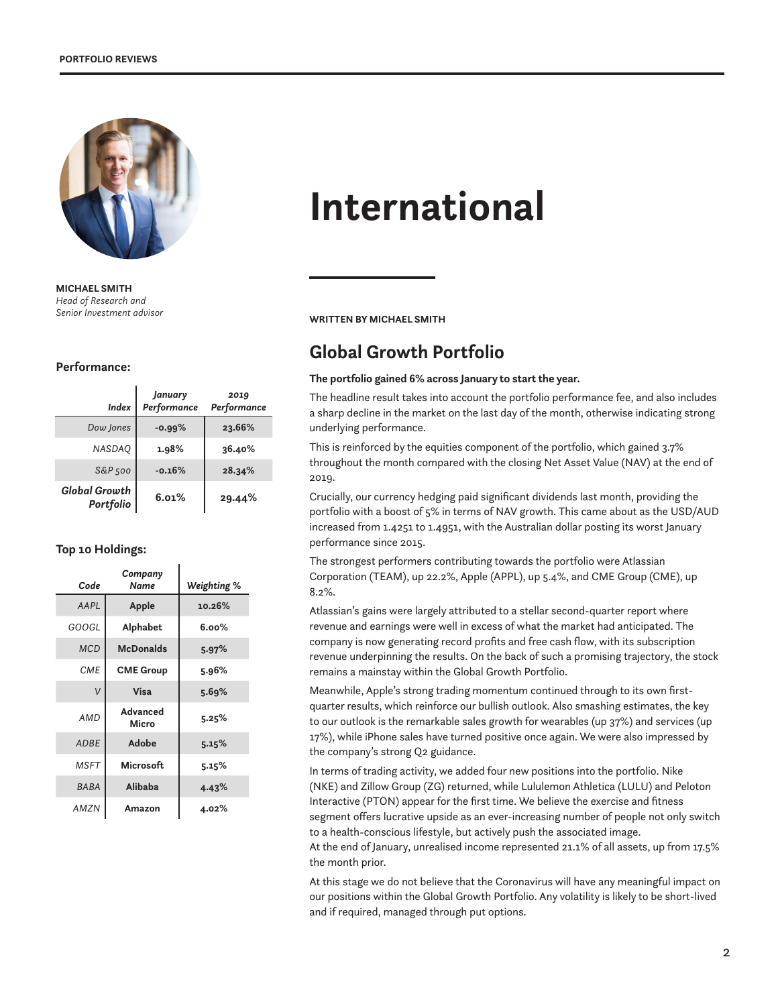

**MICHAEL SMITH** *Head of Research and* 

#### **Performance:**

| <b>Index</b>                      | January<br>Performance | 2019<br>Performance |
|-----------------------------------|------------------------|---------------------|
| Dow Jones                         | $-0.99\%$              | 23.66%              |
| <b>NASDAQ</b>                     | 1.98%                  | 36.40%              |
| $S\&P$ 500                        | $-0.16%$               | 28.34%              |
| <b>Global Growth</b><br>Portfolio | 6.01%                  | 29.44%              |

#### **Top 10 Holdings:**

| Code        | Company<br>Name   | Weighting % |
|-------------|-------------------|-------------|
| AAPL        | Apple             | 10.26%      |
| GOOGL       | <b>Alphabet</b>   | $6.00\%$    |
| <b>MCD</b>  | <b>McDonalds</b>  | 5.97%       |
| <b>CMF</b>  | <b>CME Group</b>  | 5.96%       |
| ν           | Visa              | 5.69%       |
| <b>AMD</b>  | Advanced<br>Micro | 5.25%       |
| <b>ADBE</b> | Adobe             | 5.15%       |
| <b>MSFT</b> | <b>Microsoft</b>  | 5.15%       |
| <b>BABA</b> | Alibaba           | 4.43%       |
| AMZN        | Amazon            | 4.02%       |

# **International**

**WRITTEN BY MICHAEL SMITH** 

### **Global Growth Portfolio**

#### **The portfolio gained 6% across January to start the year.**

The headline result takes into account the portfolio performance fee, and also includes a sharp decline in the market on the last day of the month, otherwise indicating strong underlying performance.

This is reinforced by the equities component of the portfolio, which gained 3.7% throughout the month compared with the closing Net Asset Value (NAV) at the end of 2019.

Crucially, our currency hedging paid significant dividends last month, providing the portfolio with a boost of 5% in terms of NAV growth. This came about as the USD/AUD increased from 1.4251 to 1.4951, with the Australian dollar posting its worst January performance since 2015.

The strongest performers contributing towards the portfolio were Atlassian Corporation (TEAM), up 22.2%, Apple (APPL), up 5.4%, and CME Group (CME), up 8.2%.

Atlassian's gains were largely attributed to a stellar second-quarter report where revenue and earnings were well in excess of what the market had anticipated. The company is now generating record profits and free cash flow, with its subscription revenue underpinning the results. On the back of such a promising trajectory, the stock remains a mainstay within the Global Growth Portfolio.

Meanwhile, Apple's strong trading momentum continued through to its own firstquarter results, which reinforce our bullish outlook. Also smashing estimates, the key to our outlook is the remarkable sales growth for wearables (up 37%) and services (up 17%), while iPhone sales have turned positive once again. We were also impressed by the company's strong Q2 guidance.

In terms of trading activity, we added four new positions into the portfolio. Nike (NKE) and Zillow Group (ZG) returned, while Lululemon Athletica (LULU) and Peloton Interactive (PTON) appear for the first time. We believe the exercise and fitness segment offers lucrative upside as an ever-increasing number of people not only switch to a health-conscious lifestyle, but actively push the associated image.

At the end of January, unrealised income represented 21.1% of all assets, up from 17.5% the month prior.

At this stage we do not believe that the Coronavirus will have any meaningful impact on our positions within the Global Growth Portfolio. Any volatility is likely to be short-lived and if required, managed through put options.